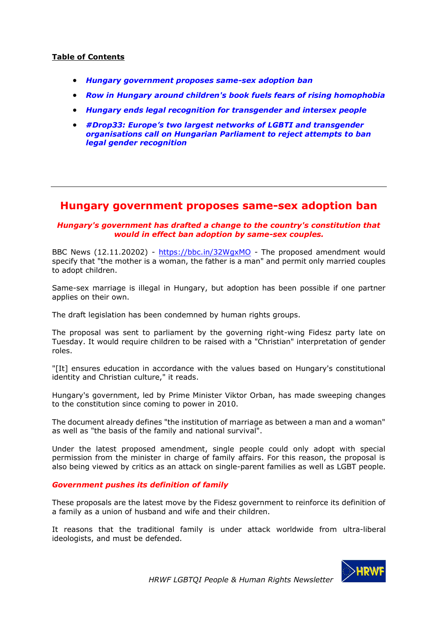### **Table of Contents**

- *[Hungary government proposes same-sex adoption ban](#page-0-0)*
- *[Row in Hungary around children's book fuels fears of rising homophobia](#page-1-0)*
- *[Hungary ends legal recognition for transgender and intersex people](#page-3-0)*
- *[#Drop33: Europe's two largest networks of LGBTI and transgender](#page-4-0)  [organisations call on Hungarian Parliament to reject attempts to ban](#page-4-0)  [legal gender recognition](#page-4-0)*

## <span id="page-0-0"></span>**Hungary government proposes same-sex adoption ban**

#### *Hungary's government has drafted a change to the country's constitution that would in effect ban adoption by same-sex couples.*

BBC News (12.11.20202) - <https://bbc.in/32WgxMO> - The proposed amendment would specify that "the mother is a woman, the father is a man" and permit only married couples to adopt children.

Same-sex marriage is illegal in Hungary, but adoption has been possible if one partner applies on their own.

The draft legislation has been condemned by human rights groups.

The proposal was sent to parliament by the governing right-wing Fidesz party late on Tuesday. It would require children to be raised with a "Christian" interpretation of gender roles.

"[It] ensures education in accordance with the values based on Hungary's constitutional identity and Christian culture," it reads.

Hungary's government, led by Prime Minister Viktor Orban, has made sweeping changes to the constitution since coming to power in 2010.

The document already defines "the institution of marriage as between a man and a woman" as well as "the basis of the family and national survival".

Under the latest proposed amendment, single people could only adopt with special permission from the minister in charge of family affairs. For this reason, the proposal is also being viewed by critics as an attack on single-parent families as well as LGBT people.

### *Government pushes its definition of family*

These proposals are the latest move by the Fidesz government to reinforce its definition of a family as a union of husband and wife and their children.

It reasons that the traditional family is under attack worldwide from ultra-liberal ideologists, and must be defended.

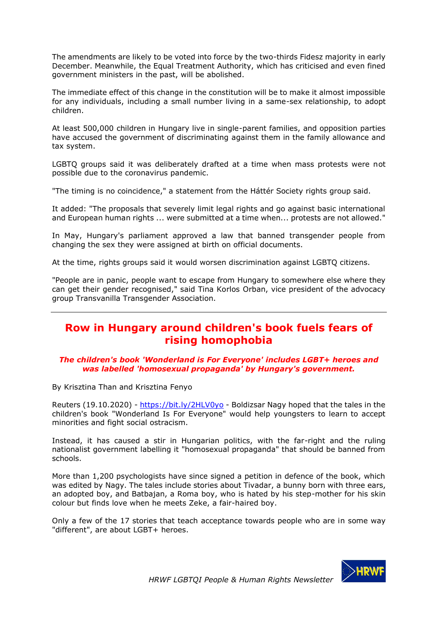The amendments are likely to be voted into force by the two-thirds Fidesz majority in early December. Meanwhile, the Equal Treatment Authority, which has criticised and even fined government ministers in the past, will be abolished.

The immediate effect of this change in the constitution will be to make it almost impossible for any individuals, including a small number living in a same-sex relationship, to adopt children.

At least 500,000 children in Hungary live in single-parent families, and opposition parties have accused the government of discriminating against them in the family allowance and tax system.

LGBTQ groups said it was deliberately drafted at a time when mass protests were not possible due to the coronavirus pandemic.

"The timing is no coincidence," a statement from the Háttér Society rights group said.

It added: "The proposals that severely limit legal rights and go against basic international and European human rights ... were submitted at a time when... protests are not allowed."

In May, Hungary's parliament approved a law that banned transgender people from changing the sex they were assigned at birth on official documents.

At the time, rights groups said it would worsen discrimination against LGBTQ citizens.

"People are in panic, people want to escape from Hungary to somewhere else where they can get their gender recognised," said Tina Korlos Orban, vice president of the advocacy group Transvanilla Transgender Association.

# <span id="page-1-0"></span>**Row in Hungary around children's book fuels fears of rising homophobia**

### *The children's book 'Wonderland is For Everyone' includes LGBT+ heroes and was labelled 'homosexual propaganda' by Hungary's government.*

By Krisztina Than and Krisztina Fenyo

Reuters (19.10.2020) - <https://bit.ly/2HLV0yo> - Boldizsar Nagy hoped that the tales in the children's book "Wonderland Is For Everyone" would help youngsters to learn to accept minorities and fight social ostracism.

Instead, it has caused a stir in Hungarian politics, with the far-right and the ruling nationalist government labelling it "homosexual propaganda" that should be banned from schools.

More than 1,200 psychologists have since signed a petition in defence of the book, which was edited by Nagy. The tales include stories about Tivadar, a bunny born with three ears, an adopted boy, and Batbajan, a Roma boy, who is hated by his step-mother for his skin colour but finds love when he meets Zeke, a fair-haired boy.

Only a few of the 17 stories that teach acceptance towards people who are in some way "different", are about LGBT+ heroes.

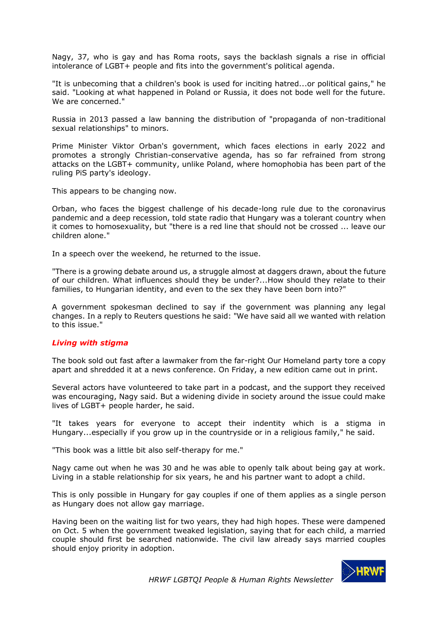Nagy, 37, who is gay and has Roma roots, says the backlash signals a rise in official intolerance of LGBT+ people and fits into the government's political agenda.

"It is unbecoming that a children's book is used for inciting hatred...or political gains," he said. "Looking at what happened in Poland or Russia, it does not bode well for the future. We are concerned."

Russia in 2013 passed a law banning the distribution of "propaganda of non-traditional sexual relationships" to minors.

Prime Minister Viktor Orban's government, which faces elections in early 2022 and promotes a strongly Christian-conservative agenda, has so far refrained from strong attacks on the LGBT+ community, unlike Poland, where homophobia has been part of the ruling PiS party's ideology.

This appears to be changing now.

Orban, who faces the biggest challenge of his decade-long rule due to the coronavirus pandemic and a deep recession, told state radio that Hungary was a tolerant country when it comes to homosexuality, but "there is a red line that should not be crossed ... leave our children alone."

In a speech over the weekend, he returned to the issue.

"There is a growing debate around us, a struggle almost at daggers drawn, about the future of our children. What influences should they be under?...How should they relate to their families, to Hungarian identity, and even to the sex they have been born into?"

A government spokesman declined to say if the government was planning any legal changes. In a reply to Reuters questions he said: "We have said all we wanted with relation to this issue."

#### *Living with stigma*

The book sold out fast after a lawmaker from the far-right Our Homeland party tore a copy apart and shredded it at a news conference. On Friday, a new edition came out in print.

Several actors have volunteered to take part in a podcast, and the support they received was encouraging, Nagy said. But a widening divide in society around the issue could make lives of LGBT+ people harder, he said.

"It takes years for everyone to accept their indentity which is a stigma in Hungary...especially if you grow up in the countryside or in a religious family," he said.

"This book was a little bit also self-therapy for me."

Nagy came out when he was 30 and he was able to openly talk about being gay at work. Living in a stable relationship for six years, he and his partner want to adopt a child.

This is only possible in Hungary for gay couples if one of them applies as a single person as Hungary does not allow gay marriage.

Having been on the waiting list for two years, they had high hopes. These were dampened on Oct. 5 when the government tweaked legislation, saying that for each child, a married couple should first be searched nationwide. The civil law already says married couples should enjoy priority in adoption.

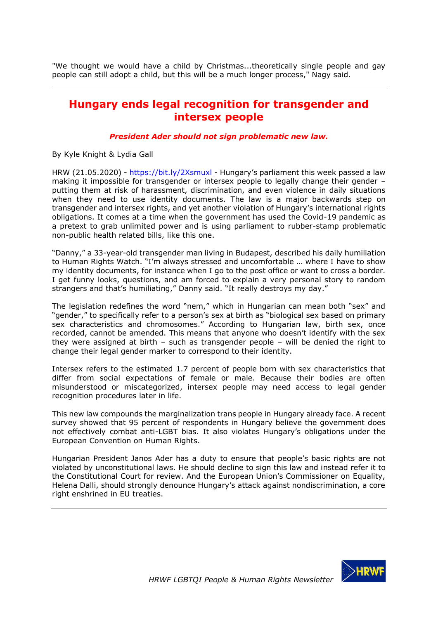"We thought we would have a child by Christmas...theoretically single people and gay people can still adopt a child, but this will be a much longer process," Nagy said.

# <span id="page-3-0"></span>**Hungary ends legal recognition for transgender and intersex people**

#### *President Ader should not sign problematic new law.*

By Kyle Knight & Lydia Gall

HRW (21.05.2020) - <https://bit.ly/2Xsmuxl> - Hungary's parliament this week passed a law making it impossible for transgender or intersex people to legally change their gender – putting them at risk of harassment, discrimination, and even violence in daily situations when they need to use identity documents. The law is a major backwards step on transgender and intersex rights, and yet another violation of Hungary's international rights obligations. It comes at a time when the government has used the Covid-19 pandemic as a pretext to grab unlimited power and is using parliament to rubber-stamp problematic non-public health related bills, like this one.

"Danny," a 33-year-old transgender man living in Budapest, described his daily humiliation to Human Rights Watch. "I'm always stressed and uncomfortable … where I have to show my identity documents, for instance when I go to the post office or want to cross a border. I get funny looks, questions, and am forced to explain a very personal story to random strangers and that's humiliating," Danny said. "It really destroys my day."

The legislation redefines the word "nem," which in Hungarian can mean both "sex" and "gender," to specifically refer to a person's sex at birth as "biological sex based on primary sex characteristics and chromosomes." According to Hungarian law, birth sex, once recorded, cannot be amended. This means that anyone who doesn't identify with the sex they were assigned at birth – such as transgender people – will be denied the right to change their legal gender marker to correspond to their identity.

Intersex refers to the estimated 1.7 percent of people born with sex characteristics that differ from social expectations of female or male. Because their bodies are often misunderstood or miscategorized, intersex people may need access to legal gender recognition procedures later in life.

This new law compounds the marginalization trans people in Hungary already face. A recent survey showed that 95 percent of respondents in Hungary believe the government does not effectively combat anti-LGBT bias. It also violates Hungary's obligations under the European Convention on Human Rights.

Hungarian President Janos Ader has a duty to ensure that people's basic rights are not violated by unconstitutional laws. He should decline to sign this law and instead refer it to the Constitutional Court for review. And the European Union's Commissioner on Equality, Helena Dalli, should strongly denounce Hungary's attack against nondiscrimination, a core right enshrined in EU treaties.

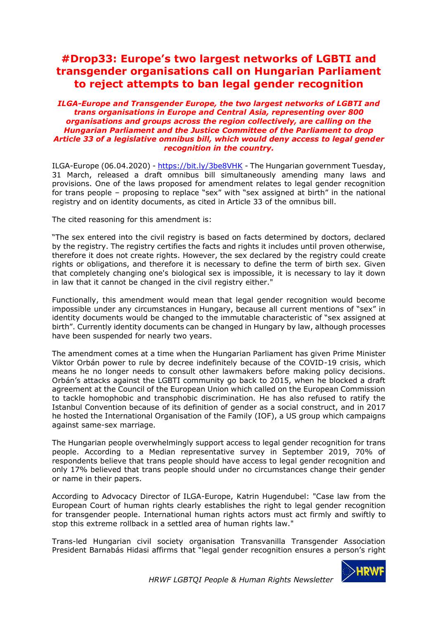# <span id="page-4-0"></span>**#Drop33: Europe's two largest networks of LGBTI and transgender organisations call on Hungarian Parliament to reject attempts to ban legal gender recognition**

#### *ILGA-Europe and Transgender Europe, the two largest networks of LGBTI and trans organisations in Europe and Central Asia, representing over 800 organisations and groups across the region collectively, are calling on the Hungarian Parliament and the Justice Committee of the Parliament to drop Article 33 of a legislative omnibus bill, which would deny access to legal gender recognition in the country.*

ILGA-Europe (06.04.2020) - <https://bit.ly/3be8VHK> - The Hungarian government Tuesday, 31 March, released a draft omnibus bill simultaneously amending many laws and provisions. One of the laws proposed for amendment relates to legal gender recognition for trans people – proposing to replace "sex" with "sex assigned at birth" in the national registry and on identity documents, as cited in Article 33 of the omnibus bill.

The cited reasoning for this amendment is:

"The sex entered into the civil registry is based on facts determined by doctors, declared by the registry. The registry certifies the facts and rights it includes until proven otherwise, therefore it does not create rights. However, the sex declared by the registry could create rights or obligations, and therefore it is necessary to define the term of birth sex. Given that completely changing one's biological sex is impossible, it is necessary to lay it down in law that it cannot be changed in the civil registry either."

Functionally, this amendment would mean that legal gender recognition would become impossible under any circumstances in Hungary, because all current mentions of "sex" in identity documents would be changed to the immutable characteristic of "sex assigned at birth". Currently identity documents can be changed in Hungary by law, although processes have been suspended for nearly two years.

The amendment comes at a time when the Hungarian Parliament has given Prime Minister Viktor Orbán power to rule by decree indefinitely because of the COVID-19 crisis, which means he no longer needs to consult other lawmakers before making policy decisions. Orbán's attacks against the LGBTI community go back to 2015, when he blocked a draft agreement at the Council of the European Union which called on the European Commission to tackle homophobic and transphobic discrimination. He has also refused to ratify the Istanbul Convention because of its definition of gender as a social construct, and in 2017 he hosted the International Organisation of the Family (IOF), a US group which campaigns against same-sex marriage.

The Hungarian people overwhelmingly support access to legal gender recognition for trans people. According to a Median representative survey in September 2019, 70% of respondents believe that trans people should have access to legal gender recognition and only 17% believed that trans people should under no circumstances change their gender or name in their papers.

According to Advocacy Director of ILGA-Europe, Katrin Hugendubel: "Case law from the European Court of human rights clearly establishes the right to legal gender recognition for transgender people. International human rights actors must act firmly and swiftly to stop this extreme rollback in a settled area of human rights law."

Trans-led Hungarian civil society organisation Transvanilla Transgender Association President Barnabás Hidasi affirms that "legal gender recognition ensures a person's right